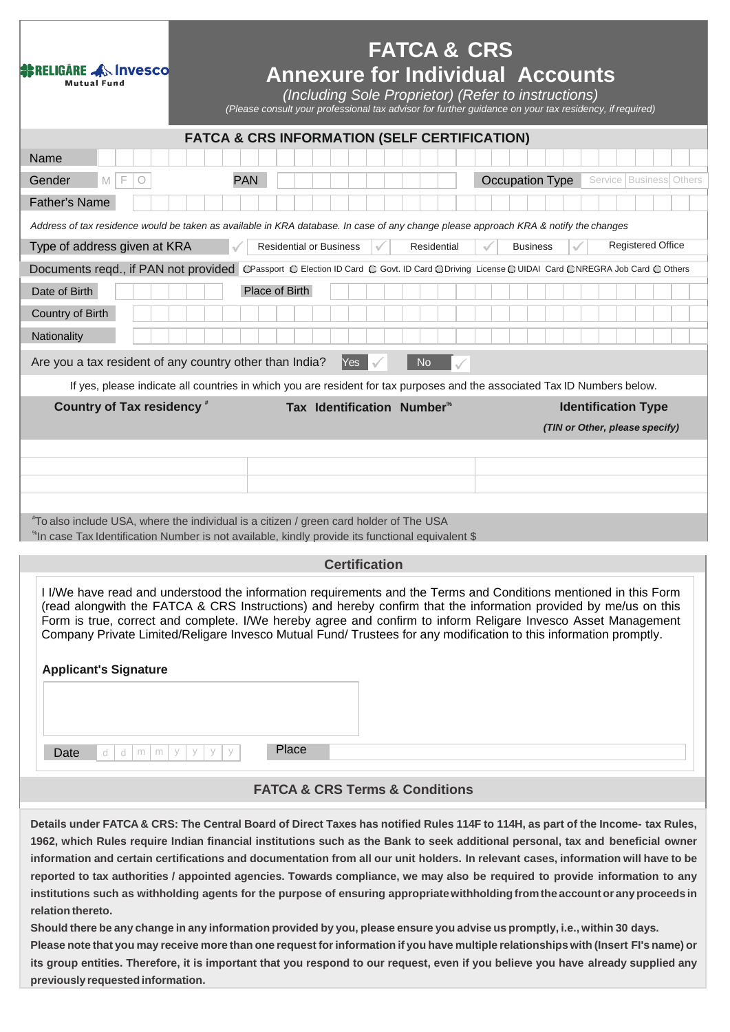| <b>SE RELIGARE AN Invesco</b>                                                                                                                                                                                                                                                                                                                                                                                                                                                                             |                                | <b>FATCA &amp; CRS</b> |                                                                                                                                                                                                                                                                                                                                                                                                                                                                                                                                                                                                                                                                                                                                                                                                                                                                                                                                                                                                                                                                                      |  |
|-----------------------------------------------------------------------------------------------------------------------------------------------------------------------------------------------------------------------------------------------------------------------------------------------------------------------------------------------------------------------------------------------------------------------------------------------------------------------------------------------------------|--------------------------------|------------------------|--------------------------------------------------------------------------------------------------------------------------------------------------------------------------------------------------------------------------------------------------------------------------------------------------------------------------------------------------------------------------------------------------------------------------------------------------------------------------------------------------------------------------------------------------------------------------------------------------------------------------------------------------------------------------------------------------------------------------------------------------------------------------------------------------------------------------------------------------------------------------------------------------------------------------------------------------------------------------------------------------------------------------------------------------------------------------------------|--|
| Mutual Fund                                                                                                                                                                                                                                                                                                                                                                                                                                                                                               |                                |                        | <b>Annexure for Individual Accounts</b><br>(Including Sole Proprietor) (Refer to instructions)<br>(Please consult your professional tax advisor for further guidance on your tax residency, if required)                                                                                                                                                                                                                                                                                                                                                                                                                                                                                                                                                                                                                                                                                                                                                                                                                                                                             |  |
| <b>FATCA &amp; CRS INFORMATION (SELF CERTIFICATION)</b>                                                                                                                                                                                                                                                                                                                                                                                                                                                   |                                |                        |                                                                                                                                                                                                                                                                                                                                                                                                                                                                                                                                                                                                                                                                                                                                                                                                                                                                                                                                                                                                                                                                                      |  |
| Name                                                                                                                                                                                                                                                                                                                                                                                                                                                                                                      |                                |                        |                                                                                                                                                                                                                                                                                                                                                                                                                                                                                                                                                                                                                                                                                                                                                                                                                                                                                                                                                                                                                                                                                      |  |
| Gender<br>F<br>M<br>O                                                                                                                                                                                                                                                                                                                                                                                                                                                                                     | <b>PAN</b>                     |                        | Occupation Type<br>Service   Business   Others                                                                                                                                                                                                                                                                                                                                                                                                                                                                                                                                                                                                                                                                                                                                                                                                                                                                                                                                                                                                                                       |  |
| <b>Father's Name</b>                                                                                                                                                                                                                                                                                                                                                                                                                                                                                      |                                |                        |                                                                                                                                                                                                                                                                                                                                                                                                                                                                                                                                                                                                                                                                                                                                                                                                                                                                                                                                                                                                                                                                                      |  |
| Address of tax residence would be taken as available in KRA database. In case of any change please approach KRA & notify the changes<br>Type of address given at KRA                                                                                                                                                                                                                                                                                                                                      | <b>Residential or Business</b> | Residential            | <b>Registered Office</b><br><b>Business</b><br>J                                                                                                                                                                                                                                                                                                                                                                                                                                                                                                                                                                                                                                                                                                                                                                                                                                                                                                                                                                                                                                     |  |
| Documents reqd., if PAN not provided ©Passport © Election ID Card © Govt. ID Card © Driving License © UIDAI Card © NREGRA Job Card © Others                                                                                                                                                                                                                                                                                                                                                               |                                |                        |                                                                                                                                                                                                                                                                                                                                                                                                                                                                                                                                                                                                                                                                                                                                                                                                                                                                                                                                                                                                                                                                                      |  |
| Date of Birth                                                                                                                                                                                                                                                                                                                                                                                                                                                                                             | Place of Birth                 |                        |                                                                                                                                                                                                                                                                                                                                                                                                                                                                                                                                                                                                                                                                                                                                                                                                                                                                                                                                                                                                                                                                                      |  |
| Country of Birth                                                                                                                                                                                                                                                                                                                                                                                                                                                                                          |                                |                        |                                                                                                                                                                                                                                                                                                                                                                                                                                                                                                                                                                                                                                                                                                                                                                                                                                                                                                                                                                                                                                                                                      |  |
| Nationality                                                                                                                                                                                                                                                                                                                                                                                                                                                                                               |                                |                        |                                                                                                                                                                                                                                                                                                                                                                                                                                                                                                                                                                                                                                                                                                                                                                                                                                                                                                                                                                                                                                                                                      |  |
| Yes<br>Are you a tax resident of any country other than India?<br><b>No</b>                                                                                                                                                                                                                                                                                                                                                                                                                               |                                |                        |                                                                                                                                                                                                                                                                                                                                                                                                                                                                                                                                                                                                                                                                                                                                                                                                                                                                                                                                                                                                                                                                                      |  |
|                                                                                                                                                                                                                                                                                                                                                                                                                                                                                                           |                                |                        | If yes, please indicate all countries in which you are resident for tax purposes and the associated Tax ID Numbers below.                                                                                                                                                                                                                                                                                                                                                                                                                                                                                                                                                                                                                                                                                                                                                                                                                                                                                                                                                            |  |
| <b>Country of Tax residency</b> *                                                                                                                                                                                                                                                                                                                                                                                                                                                                         | Tax Identification Number®     |                        | <b>Identification Type</b>                                                                                                                                                                                                                                                                                                                                                                                                                                                                                                                                                                                                                                                                                                                                                                                                                                                                                                                                                                                                                                                           |  |
|                                                                                                                                                                                                                                                                                                                                                                                                                                                                                                           |                                |                        | (TIN or Other, please specify)                                                                                                                                                                                                                                                                                                                                                                                                                                                                                                                                                                                                                                                                                                                                                                                                                                                                                                                                                                                                                                                       |  |
|                                                                                                                                                                                                                                                                                                                                                                                                                                                                                                           |                                |                        |                                                                                                                                                                                                                                                                                                                                                                                                                                                                                                                                                                                                                                                                                                                                                                                                                                                                                                                                                                                                                                                                                      |  |
|                                                                                                                                                                                                                                                                                                                                                                                                                                                                                                           |                                |                        |                                                                                                                                                                                                                                                                                                                                                                                                                                                                                                                                                                                                                                                                                                                                                                                                                                                                                                                                                                                                                                                                                      |  |
|                                                                                                                                                                                                                                                                                                                                                                                                                                                                                                           |                                |                        |                                                                                                                                                                                                                                                                                                                                                                                                                                                                                                                                                                                                                                                                                                                                                                                                                                                                                                                                                                                                                                                                                      |  |
| "To also include USA, where the individual is a citizen / green card holder of The USA<br>*In case Tax Identification Number is not available, kindly provide its functional equivalent \$                                                                                                                                                                                                                                                                                                                |                                |                        |                                                                                                                                                                                                                                                                                                                                                                                                                                                                                                                                                                                                                                                                                                                                                                                                                                                                                                                                                                                                                                                                                      |  |
|                                                                                                                                                                                                                                                                                                                                                                                                                                                                                                           | <b>Certification</b>           |                        |                                                                                                                                                                                                                                                                                                                                                                                                                                                                                                                                                                                                                                                                                                                                                                                                                                                                                                                                                                                                                                                                                      |  |
| I I/We have read and understood the information requirements and the Terms and Conditions mentioned in this Form<br>(read alongwith the FATCA & CRS Instructions) and hereby confirm that the information provided by me/us on this<br>Form is true, correct and complete. I/We hereby agree and confirm to inform Religare Invesco Asset Management<br>Company Private Limited/Religare Invesco Mutual Fund/ Trustees for any modification to this information promptly.<br><b>Applicant's Signature</b> |                                |                        |                                                                                                                                                                                                                                                                                                                                                                                                                                                                                                                                                                                                                                                                                                                                                                                                                                                                                                                                                                                                                                                                                      |  |
|                                                                                                                                                                                                                                                                                                                                                                                                                                                                                                           |                                |                        |                                                                                                                                                                                                                                                                                                                                                                                                                                                                                                                                                                                                                                                                                                                                                                                                                                                                                                                                                                                                                                                                                      |  |
| Date<br>y<br>У<br>d<br>d<br>m<br>m                                                                                                                                                                                                                                                                                                                                                                                                                                                                        | Place<br>y                     |                        |                                                                                                                                                                                                                                                                                                                                                                                                                                                                                                                                                                                                                                                                                                                                                                                                                                                                                                                                                                                                                                                                                      |  |
| <b>FATCA &amp; CRS Terms &amp; Conditions</b>                                                                                                                                                                                                                                                                                                                                                                                                                                                             |                                |                        |                                                                                                                                                                                                                                                                                                                                                                                                                                                                                                                                                                                                                                                                                                                                                                                                                                                                                                                                                                                                                                                                                      |  |
| relation thereto.                                                                                                                                                                                                                                                                                                                                                                                                                                                                                         |                                |                        | Details under FATCA & CRS: The Central Board of Direct Taxes has notified Rules 114F to 114H, as part of the Income- tax Rules,<br>1962, which Rules require Indian financial institutions such as the Bank to seek additional personal, tax and beneficial owner<br>information and certain certifications and documentation from all our unit holders. In relevant cases, information will have to be<br>reported to tax authorities / appointed agencies. Towards compliance, we may also be required to provide information to any<br>institutions such as withholding agents for the purpose of ensuring appropriate withholding from the account or any proceeds in<br>Should there be any change in any information provided by you, please ensure you advise us promptly, i.e., within 30 days.<br>Please note that you may receive more than one request for information if you have multiple relationships with (Insert FI's name) or<br>its group entities. Therefore, it is important that you respond to our request, even if you believe you have already supplied any |  |
| previously requested information.                                                                                                                                                                                                                                                                                                                                                                                                                                                                         |                                |                        |                                                                                                                                                                                                                                                                                                                                                                                                                                                                                                                                                                                                                                                                                                                                                                                                                                                                                                                                                                                                                                                                                      |  |

П